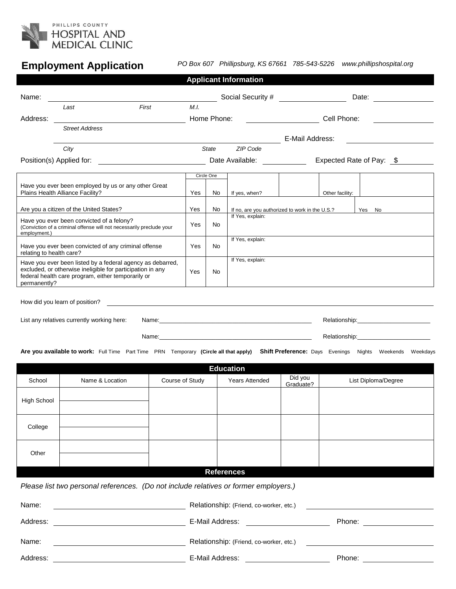

# **Employment Application**

*PO Box 607 Phillipsburg, KS 67661 785-543-5226 www.phillipshospital.org*

| <b>Applicant Information</b>                                                                                                                                                                                                                                                 |                                                                                                                                                                   |                 |      |                  |                                                           |                               |                          |  |  |  |  |
|------------------------------------------------------------------------------------------------------------------------------------------------------------------------------------------------------------------------------------------------------------------------------|-------------------------------------------------------------------------------------------------------------------------------------------------------------------|-----------------|------|------------------|-----------------------------------------------------------|-------------------------------|--------------------------|--|--|--|--|
| Name:                                                                                                                                                                                                                                                                        |                                                                                                                                                                   |                 |      |                  | Date: <u>_______</u>                                      |                               |                          |  |  |  |  |
|                                                                                                                                                                                                                                                                              | Last                                                                                                                                                              | First           | M.L. |                  |                                                           |                               |                          |  |  |  |  |
| Address:                                                                                                                                                                                                                                                                     |                                                                                                                                                                   |                 |      | Home Phone:      |                                                           | Cell Phone:                   |                          |  |  |  |  |
|                                                                                                                                                                                                                                                                              | <b>Street Address</b>                                                                                                                                             |                 |      |                  |                                                           | E-Mail Address:               |                          |  |  |  |  |
|                                                                                                                                                                                                                                                                              | City                                                                                                                                                              |                 |      | State            | ZIP Code                                                  |                               |                          |  |  |  |  |
|                                                                                                                                                                                                                                                                              |                                                                                                                                                                   |                 |      |                  | Date Available: _____________                             |                               | Expected Rate of Pay: \$ |  |  |  |  |
|                                                                                                                                                                                                                                                                              |                                                                                                                                                                   |                 |      | Circle One       |                                                           |                               |                          |  |  |  |  |
| Have you ever been employed by us or any other Great<br>Plains Health Alliance Facility?                                                                                                                                                                                     |                                                                                                                                                                   |                 |      | No               | If yes, when?                                             |                               | Other facility:          |  |  |  |  |
|                                                                                                                                                                                                                                                                              | Are you a citizen of the United States?                                                                                                                           | Yes             | No   |                  | If no, are you authorized to work in the U.S.?<br>Yes No  |                               |                          |  |  |  |  |
| employment.)                                                                                                                                                                                                                                                                 | Have you ever been convicted of a felony?<br>(Conviction of a criminal offense will not necessarily preclude your                                                 | Yes             | No.  | If Yes, explain: |                                                           |                               |                          |  |  |  |  |
| relating to health care?                                                                                                                                                                                                                                                     | Have you ever been convicted of any criminal offense                                                                                                              | Yes             | No.  | If Yes, explain: |                                                           |                               |                          |  |  |  |  |
| Have you ever been listed by a federal agency as debarred,<br>excluded, or otherwise ineligible for participation in any<br>federal health care program, either temporarily or<br>permanently?                                                                               |                                                                                                                                                                   |                 |      | No               | If Yes, explain:                                          |                               |                          |  |  |  |  |
|                                                                                                                                                                                                                                                                              | How did you learn of position?                                                                                                                                    |                 |      |                  | <u> 1989 - Johann Barnett, fransk politiker (d. 1989)</u> |                               |                          |  |  |  |  |
| List any relatives currently working here:<br>Relationship: Network and the set of the set of the set of the set of the set of the set of the set of the set of the set of the set of the set of the set of the set of the set of the set of the set of the set of the set o |                                                                                                                                                                   |                 |      |                  |                                                           |                               |                          |  |  |  |  |
|                                                                                                                                                                                                                                                                              |                                                                                                                                                                   |                 |      |                  |                                                           |                               |                          |  |  |  |  |
| Are you available to work: Full Time Part Time PRN Temporary (Circle all that apply) Shift Preference: Days Evenings Nights Weekends Weekdays                                                                                                                                |                                                                                                                                                                   |                 |      |                  |                                                           |                               |                          |  |  |  |  |
|                                                                                                                                                                                                                                                                              |                                                                                                                                                                   |                 |      |                  | <b>Education</b>                                          |                               |                          |  |  |  |  |
| School                                                                                                                                                                                                                                                                       | Name & Location                                                                                                                                                   | Course of Study |      |                  | <b>Years Attended</b>                                     | Did you<br>Graduate?          | List Diploma/Degree      |  |  |  |  |
| High School                                                                                                                                                                                                                                                                  |                                                                                                                                                                   |                 |      |                  |                                                           |                               |                          |  |  |  |  |
| College                                                                                                                                                                                                                                                                      |                                                                                                                                                                   |                 |      |                  |                                                           |                               |                          |  |  |  |  |
| Other                                                                                                                                                                                                                                                                        |                                                                                                                                                                   |                 |      |                  |                                                           |                               |                          |  |  |  |  |
|                                                                                                                                                                                                                                                                              |                                                                                                                                                                   |                 |      |                  | <b>References</b>                                         |                               |                          |  |  |  |  |
| Please list two personal references. (Do not include relatives or former employers.)                                                                                                                                                                                         |                                                                                                                                                                   |                 |      |                  |                                                           |                               |                          |  |  |  |  |
| Name:                                                                                                                                                                                                                                                                        | Relationship: (Friend, co-worker, etc.)<br><u> 1989 - Johann Barn, mars ann an t-Aonaich an t-Aonaich an t-Aonaich an t-Aonaich an t-Aonaich ann an t-Aonaich</u> |                 |      |                  |                                                           |                               |                          |  |  |  |  |
|                                                                                                                                                                                                                                                                              |                                                                                                                                                                   |                 |      | E-Mail Address:  |                                                           | Phone: <u>_______________</u> |                          |  |  |  |  |
| Address:                                                                                                                                                                                                                                                                     |                                                                                                                                                                   |                 |      |                  |                                                           |                               |                          |  |  |  |  |

Address: National Address: E-Mail Address: National Address: Phone: Phone: Phone: Phone: Phone: Phone: Phone: Phone: Phone: Phone: Phone: Phone: Phone: Phone: Phone: Phone: Phone: Phone: Phone: Phone: Phone: Phone: Phone: